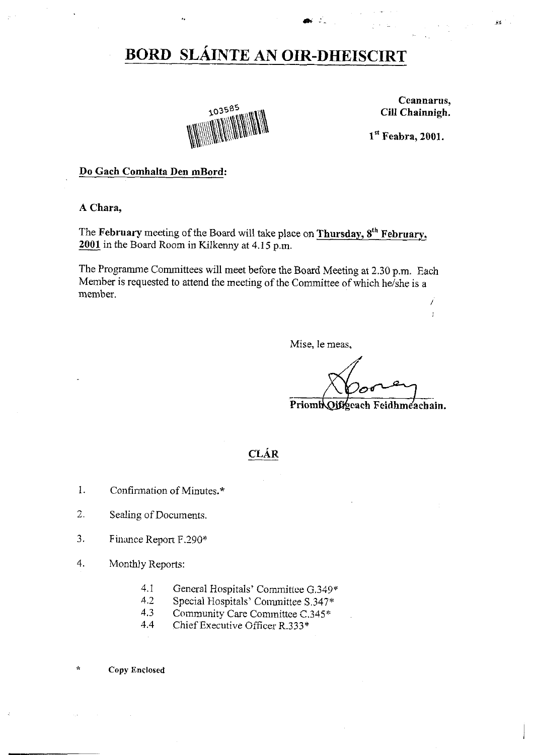## **BORD SLÁINTE AN OIR-DHEISCIRT**



Ceannarus, Cill Chainnigh.

 $\overline{1}$ 

 $\hat{M}^{(1)}$  .

 $1<sup>st</sup>$  Feabra, 2001.

## Do Gach Comhalta Den mBord:

A Chara,

The February meeting of the Board will take place on Thursday, 8<sup>th</sup> February, 2001 in the Board Room in Kilkenny at 4.15 p.m.

The Programme Committees will meet before the Board Meeting at 2.30 p.m. Each Member is requested to attend the meeting of the Committee of which he/she is a member. İ

Mise, le meas,

PriomhOjfrgeach Feidhmeachain.

## **CLÁR**

- $1.$ Confirmation of Minutes.\*
- $\overline{2}$ . Sealing of Documents.
- 3. Finance Report F.290\*
- 4. Monthly Reports:
	- $4.1$ General Hospitals' Committee G.349\*
	- $4.2$ Special Hospitals' Committee S.347\*
	- $4.3$ Community Care Committee C.345\*
	- $4.4$ Chief Executive Officer R.333\*
- ý, **Copy Enclosed**